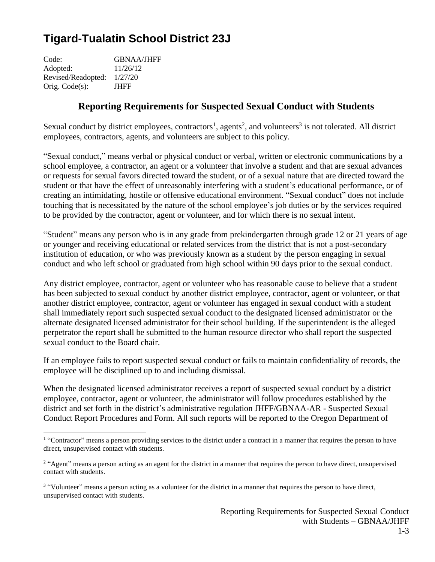# **Tigard-Tualatin School District 23J**

Code: GBNAA/JHFF Adopted: 11/26/12 Revised/Readopted: 1/27/20 Orig. Code(s): JHFF

# **Reporting Requirements for Suspected Sexual Conduct with Students**

Sexual conduct by district employees, contractors<sup>1</sup>, agents<sup>2</sup>, and volunteers<sup>3</sup> is not tolerated. All district employees, contractors, agents, and volunteers are subject to this policy.

"Sexual conduct," means verbal or physical conduct or verbal, written or electronic communications by a school employee, a contractor, an agent or a volunteer that involve a student and that are sexual advances or requests for sexual favors directed toward the student, or of a sexual nature that are directed toward the student or that have the effect of unreasonably interfering with a student's educational performance, or of creating an intimidating, hostile or offensive educational environment. "Sexual conduct" does not include touching that is necessitated by the nature of the school employee's job duties or by the services required to be provided by the contractor, agent or volunteer, and for which there is no sexual intent.

"Student" means any person who is in any grade from prekindergarten through grade 12 or 21 years of age or younger and receiving educational or related services from the district that is not a post-secondary institution of education, or who was previously known as a student by the person engaging in sexual conduct and who left school or graduated from high school within 90 days prior to the sexual conduct.

Any district employee, contractor, agent or volunteer who has reasonable cause to believe that a student has been subjected to sexual conduct by another district employee, contractor, agent or volunteer, or that another district employee, contractor, agent or volunteer has engaged in sexual conduct with a student shall immediately report such suspected sexual conduct to the designated licensed administrator or the alternate designated licensed administrator for their school building. If the superintendent is the alleged perpetrator the report shall be submitted to the human resource director who shall report the suspected sexual conduct to the Board chair.

If an employee fails to report suspected sexual conduct or fails to maintain confidentiality of records, the employee will be disciplined up to and including dismissal.

When the designated licensed administrator receives a report of suspected sexual conduct by a district employee, contractor, agent or volunteer, the administrator will follow procedures established by the district and set forth in the district's administrative regulation JHFF/GBNAA-AR - Suspected Sexual Conduct Report Procedures and Form. All such reports will be reported to the Oregon Department of

<sup>&</sup>lt;sup>1</sup> "Contractor" means a person providing services to the district under a contract in a manner that requires the person to have direct, unsupervised contact with students.

<sup>&</sup>lt;sup>2</sup> "Agent" means a person acting as an agent for the district in a manner that requires the person to have direct, unsupervised contact with students.

<sup>&</sup>lt;sup>3</sup> "Volunteer" means a person acting as a volunteer for the district in a manner that requires the person to have direct, unsupervised contact with students.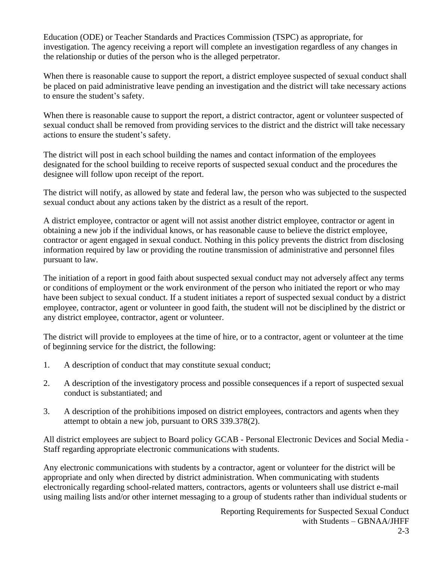Education (ODE) or Teacher Standards and Practices Commission (TSPC) as appropriate, for investigation. The agency receiving a report will complete an investigation regardless of any changes in the relationship or duties of the person who is the alleged perpetrator.

When there is reasonable cause to support the report, a district employee suspected of sexual conduct shall be placed on paid administrative leave pending an investigation and the district will take necessary actions to ensure the student's safety.

When there is reasonable cause to support the report, a district contractor, agent or volunteer suspected of sexual conduct shall be removed from providing services to the district and the district will take necessary actions to ensure the student's safety.

The district will post in each school building the names and contact information of the employees designated for the school building to receive reports of suspected sexual conduct and the procedures the designee will follow upon receipt of the report.

The district will notify, as allowed by state and federal law, the person who was subjected to the suspected sexual conduct about any actions taken by the district as a result of the report.

A district employee, contractor or agent will not assist another district employee, contractor or agent in obtaining a new job if the individual knows, or has reasonable cause to believe the district employee, contractor or agent engaged in sexual conduct. Nothing in this policy prevents the district from disclosing information required by law or providing the routine transmission of administrative and personnel files pursuant to law.

The initiation of a report in good faith about suspected sexual conduct may not adversely affect any terms or conditions of employment or the work environment of the person who initiated the report or who may have been subject to sexual conduct. If a student initiates a report of suspected sexual conduct by a district employee, contractor, agent or volunteer in good faith, the student will not be disciplined by the district or any district employee, contractor, agent or volunteer.

The district will provide to employees at the time of hire, or to a contractor, agent or volunteer at the time of beginning service for the district, the following:

- 1. A description of conduct that may constitute sexual conduct;
- 2. A description of the investigatory process and possible consequences if a report of suspected sexual conduct is substantiated; and
- 3. A description of the prohibitions imposed on district employees, contractors and agents when they attempt to obtain a new job, pursuant to ORS 339.378(2).

All district employees are subject to Board policy GCAB - Personal Electronic Devices and Social Media - Staff regarding appropriate electronic communications with students.

Any electronic communications with students by a contractor, agent or volunteer for the district will be appropriate and only when directed by district administration. When communicating with students electronically regarding school-related matters, contractors, agents or volunteers shall use district e-mail using mailing lists and/or other internet messaging to a group of students rather than individual students or

> Reporting Requirements for Suspected Sexual Conduct with Students – GBNAA/JHFF